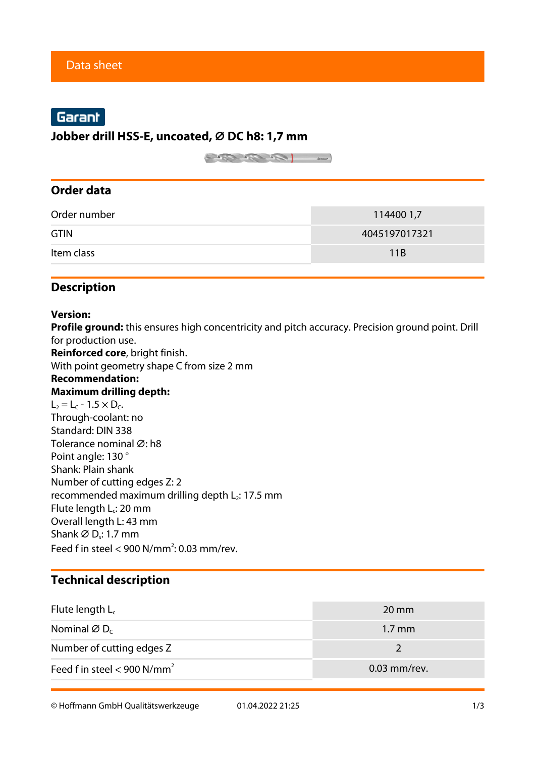# Garant

### **Jobber drill HSS-E, uncoated, ⌀ DC h8: 1,7 mm**

 $\begin{picture}(180,10) \put(0,0){\line(1,0){10}} \put(10,0){\line(1,0){10}} \put(10,0){\line(1,0){10}} \put(10,0){\line(1,0){10}} \put(10,0){\line(1,0){10}} \put(10,0){\line(1,0){10}} \put(10,0){\line(1,0){10}} \put(10,0){\line(1,0){10}} \put(10,0){\line(1,0){10}} \put(10,0){\line(1,0){10}} \put(10,0){\line(1,0){10}} \put(10,0){\line($ 

## **Order data**

| Order number | 114400 1,7    |
|--------------|---------------|
| <b>GTIN</b>  | 4045197017321 |
| Item class   | 11 R          |

## **Description**

#### **Version:**

**Profile ground:** this ensures high concentricity and pitch accuracy. Precision ground point. Drill for production use.

**Reinforced core**, bright finish.

With point geometry shape C from size 2 mm

#### **Recommendation: Maximum drilling depth:**

 $L_2 = L_C - 1.5 \times D_C$ . Through-coolant: no Standard: DIN 338 Tolerance nominal Ø: h8 Point angle: 130 ° Shank: Plain shank Number of cutting edges Z: 2 recommended maximum drilling depth  $L_2$ : 17.5 mm Flute length  $L_c$ : 20 mm Overall length L: 43 mm Shank Ø $D_s$ : 1.7 mm Feed f in steel  $<$  900 N/mm<sup>2</sup>: 0.03 mm/rev.

## **Technical description**

| Flute length $L_c$                      | $20 \text{ mm}$  |
|-----------------------------------------|------------------|
| Nominal $\varnothing$ D <sub>c</sub>    | $1.7 \text{ mm}$ |
| Number of cutting edges Z               |                  |
| Feed f in steel < 900 N/mm <sup>2</sup> | $0.03$ mm/rev.   |

© Hoffmann GmbH Qualitätswerkzeuge 01.04.2022 21:25 1/3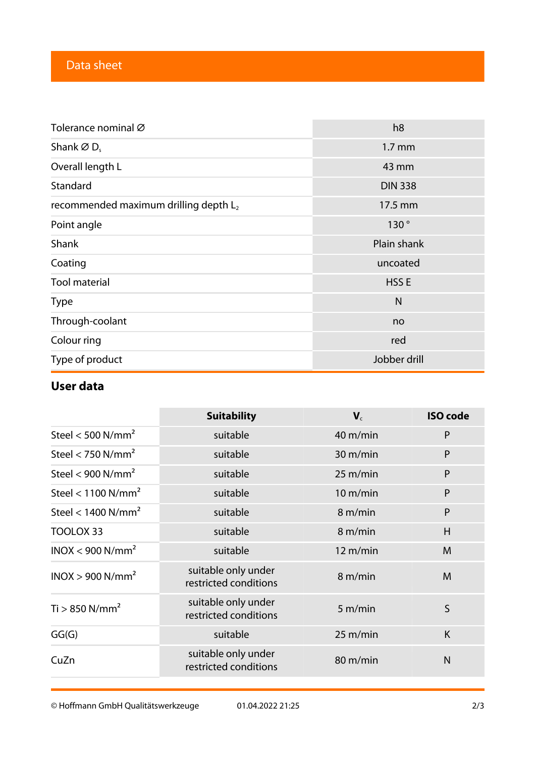| Tolerance nominal Ø                               | h <sub>8</sub>   |
|---------------------------------------------------|------------------|
| Shank $\varnothing$ D <sub>s</sub>                | $1.7 \text{ mm}$ |
| Overall length L                                  | 43 mm            |
| Standard                                          | <b>DIN 338</b>   |
| recommended maximum drilling depth L <sub>2</sub> | 17.5 mm          |
| Point angle                                       | 130°             |
| Shank                                             | Plain shank      |
| Coating                                           | uncoated         |
| <b>Tool material</b>                              | HSS <sub>E</sub> |
| <b>Type</b>                                       | N                |
| Through-coolant                                   | no               |
| Colour ring                                       | red              |
| Type of product                                   | Jobber drill     |

## **User data**

|                                  | <b>Suitability</b>                           | $V_c$              | <b>ISO</b> code |
|----------------------------------|----------------------------------------------|--------------------|-----------------|
| Steel < $500$ N/mm <sup>2</sup>  | suitable                                     | 40 m/min           | P               |
| Steel < 750 $N/mm2$              | suitable                                     | 30 m/min           | P               |
| Steel < $900$ N/mm <sup>2</sup>  | suitable                                     | $25 \text{ m/min}$ | P               |
| Steel < $1100$ N/mm <sup>2</sup> | suitable                                     | $10 \text{ m/min}$ | P               |
| Steel < $1400$ N/mm <sup>2</sup> | suitable                                     | 8 m/min            | P               |
| TOOLOX 33                        | suitable                                     | 8 m/min            | H               |
| INOX < 900 N/mm <sup>2</sup>     | suitable                                     | $12 \text{ m/min}$ | M               |
| INOX > 900 N/mm <sup>2</sup>     | suitable only under<br>restricted conditions | 8 m/min            | M               |
| $Ti > 850$ N/mm <sup>2</sup>     | suitable only under<br>restricted conditions | 5 m/min            | S               |
| GG(G)                            | suitable                                     | $25 \text{ m/min}$ | K               |
| CuZn                             | suitable only under<br>restricted conditions | 80 m/min           | $\mathsf{N}$    |

© Hoffmann GmbH Qualitätswerkzeuge 01.04.2022 21:25 2/3